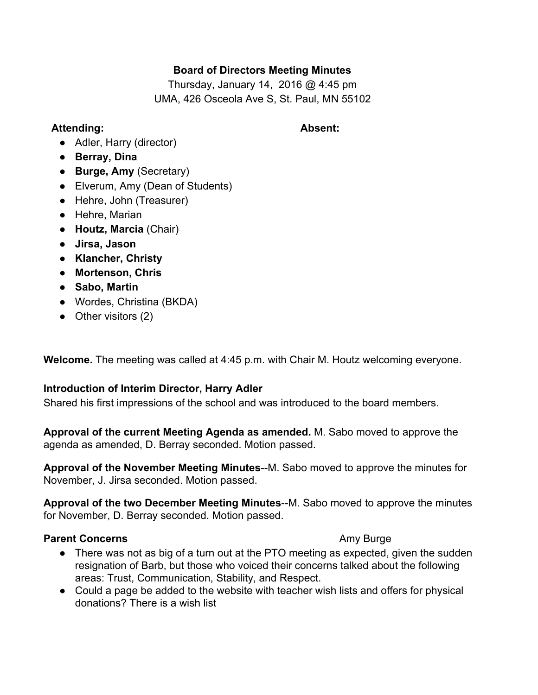## **Board of Directors Meeting Minutes**

Thursday, January 14, 2016 @ 4:45 pm UMA, 426 Osceola Ave S, St. Paul, MN 55102

### **Attending: Absent:**

- Adler, Harry (director)
- **Berray, Dina**
- **Burge, Amy**(Secretary)
- Elverum, Amy (Dean of Students)
- Hehre, John (Treasurer)
- Hehre, Marian
- **Houtz, Marcia**(Chair)
- **Jirsa, Jason**
- **● Klancher, Christy**
- **● Mortenson, Chris**
- **Sabo, Martin**
- **●** Wordes, Christina (BKDA)
- Other visitors (2)

**Welcome.**The meeting was called at 4:45 p.m. with Chair M. Houtz welcoming everyone.

# **Introduction of Interim Director, Harry Adler**

Shared his first impressions of the school and was introduced to the board members.

**Approval of the current Meeting Agenda as amended.** M. Sabo moved to approve the agenda as amended, D. Berray seconded. Motion passed.

**Approval of the November Meeting Minutes--M.** Sabo moved to approve the minutes for November, J. Jirsa seconded. Motion passed.

**Approval of the two December Meeting Minutes--M. Sabo moved to approve the minutes** for November, D. Berray seconded. Motion passed.

## **Parent Concerns Amy Burge Amy Burge Amy Burge**

- There was not as big of a turn out at the PTO meeting as expected, given the sudden resignation of Barb, but those who voiced their concerns talked about the following areas: Trust, Communication, Stability, and Respect.
- Could a page be added to the website with teacher wish lists and offers for physical donations? There is a wish list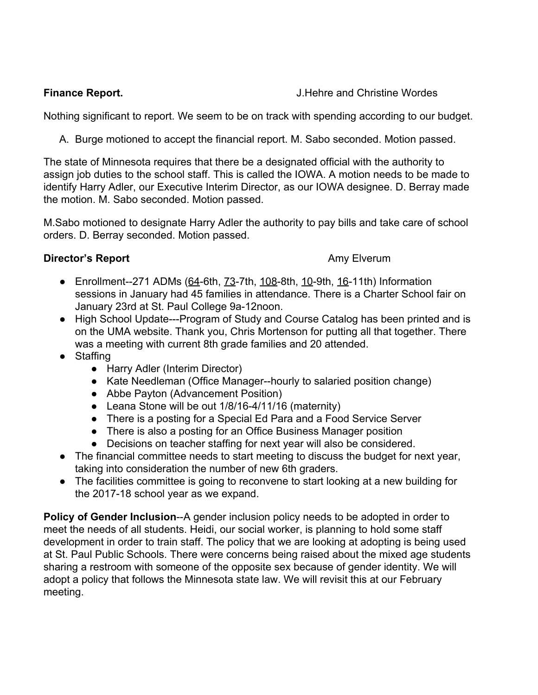## **Finance Report.** The **Report** Service Service Service Service Service Service Service Service Service Service Service Service Service Service Service Service Service Service Service Service Service Service Service Service

Nothing significant to report. We seem to be on track with spending according to our budget.

A. Burge motioned to accept the financial report. M. Sabo seconded. Motion passed.

The state of Minnesota requires that there be a designated official with the authority to assign job duties to the school staff. This is called the IOWA. A motion needs to be made to identify Harry Adler, our Executive Interim Director, as our IOWA designee. D. Berray made the motion. M. Sabo seconded. Motion passed.

M.Sabo motioned to designate Harry Adler the authority to pay bills and take care of school orders. D. Berray seconded. Motion passed.

# **Director's Report Amy Elverum**

- $\bullet$  Enrollment--271 ADMs (64-6th, 73-7th, 108-8th, 10-9th, 16-11th) Information sessions in January had 45 families in attendance. There is a Charter School fair on January 23rd at St. Paul College 9a-12noon.
- High School Update---Program of Study and Course Catalog has been printed and is on the UMA website. Thank you, Chris Mortenson for putting all that together. There was a meeting with current 8th grade families and 20 attended.
- Staffing
	- Harry Adler (Interim Director)
	- Kate Needleman (Office Manager--hourly to salaried position change)
	- Abbe Payton (Advancement Position)
	- Leana Stone will be out 1/8/16-4/11/16 (maternity)
	- There is a posting for a Special Ed Para and a Food Service Server
	- There is also a posting for an Office Business Manager position
	- Decisions on teacher staffing for next year will also be considered.
- The financial committee needs to start meeting to discuss the budget for next year, taking into consideration the number of new 6th graders.
- The facilities committee is going to reconvene to start looking at a new building for the 2017-18 school year as we expand.

**Policy of Gender Inclusion--A gender inclusion policy needs to be adopted in order to** meet the needs of all students. Heidi, our social worker, is planning to hold some staff development in order to train staff. The policy that we are looking at adopting is being used at St. Paul Public Schools. There were concerns being raised about the mixed age students sharing a restroom with someone of the opposite sex because of gender identity. We will adopt a policy that follows the Minnesota state law. We will revisit this at our February meeting.